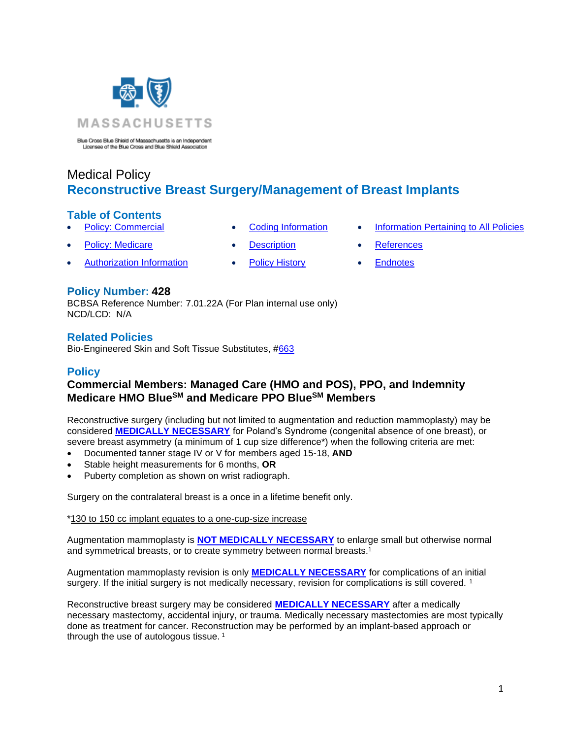

Blue Cross Blue Shield of Massachusetts is an Independent<br>Licensee of the Blue Cross and Blue Shield Association

# Medical Policy **Reconstructive Breast Surgery/Management of Breast Implants**

### **Table of Contents**

- - **[Policy: Commercial](#page-0-0) [Coding Information](#page-2-0) [Information Pertaining to All Policies](#page-8-0)** 
		-
	- **[Policy: Medicare](#page-0-0) [Description](#page-7-0) [References](#page-8-1)** 
		-
- 
- Authorization Information [Policy History](#page-8-2) [Endnotes](#page-10-0)

## **Policy Number: 428**

BCBSA Reference Number: 7.01.22A (For Plan internal use only) NCD/LCD: N/A

## **Related Policies**

<span id="page-0-0"></span>Bio-Engineered Skin and Soft Tissue Substitutes, [#663](https://www.bluecrossma.org/medical-policies/sites/g/files/csphws2091/files/acquiadam-assets/663%20Bioengineered%20Skin%20and%20Soft%20Tissue%20Substitutes%20prn.pdf)

## **Policy**

# **Commercial Members: Managed Care (HMO and POS), PPO, and Indemnity Medicare HMO BlueSM and Medicare PPO BlueSM Members**

Reconstructive surgery (including but not limited to augmentation and reduction mammoplasty) may be considered **[MEDICALLY NECESSARY](https://www.bluecrossma.org/medical-policies/sites/g/files/csphws2091/files/acquiadam-assets/Definition%20of%20Med%20Nec%20Inv%20Not%20Med%20Nec%20prn.pdf#page=1)** for Poland's Syndrome (congenital absence of one breast), or severe breast asymmetry (a minimum of 1 cup size difference\*) when the following criteria are met:

- Documented tanner stage IV or V for members aged 15-18, **AND**
- Stable height measurements for 6 months, **OR**
- Puberty completion as shown on wrist radiograph.

Surgery on the contralateral breast is a once in a lifetime benefit only.

\*130 to 150 cc implant equates to a one-cup-size increase

<span id="page-0-1"></span>Augmentation mammoplasty is **[NOT MEDICALLY NECESSARY](https://www.bluecrossma.org/medical-policies/sites/g/files/csphws2091/files/acquiadam-assets/Definition%20of%20Med%20Nec%20Inv%20Not%20Med%20Nec%20prn.pdf#page=1)** to enlarge small but otherwise normal and symmetrical breasts, or to create symmetry between normal breasts.<sup>1</sup>

Augmentation mammoplasty revision is only **[MEDICALLY NECESSARY](https://www.bluecrossma.org/medical-policies/sites/g/files/csphws2091/files/acquiadam-assets/Definition%20of%20Med%20Nec%20Inv%20Not%20Med%20Nec%20prn.pdf#page=1)** for complications of an initial surgery. If the initial surgery is not medically necessary, revision for complications is still covered.<sup>[1](#page-0-1)</sup>

Reconstructive breast surgery may be considered **[MEDICALLY NECESSARY](https://www.bluecrossma.org/medical-policies/sites/g/files/csphws2091/files/acquiadam-assets/Definition%20of%20Med%20Nec%20Inv%20Not%20Med%20Nec%20prn.pdf#page=1)** after a medically necessary mastectomy, accidental injury, or trauma. Medically necessary mastectomies are most typically done as treatment for cancer. Reconstruction may be performed by an implant-based approach or through the use of autologous tissue.<sup>[1](#page-0-1)</sup>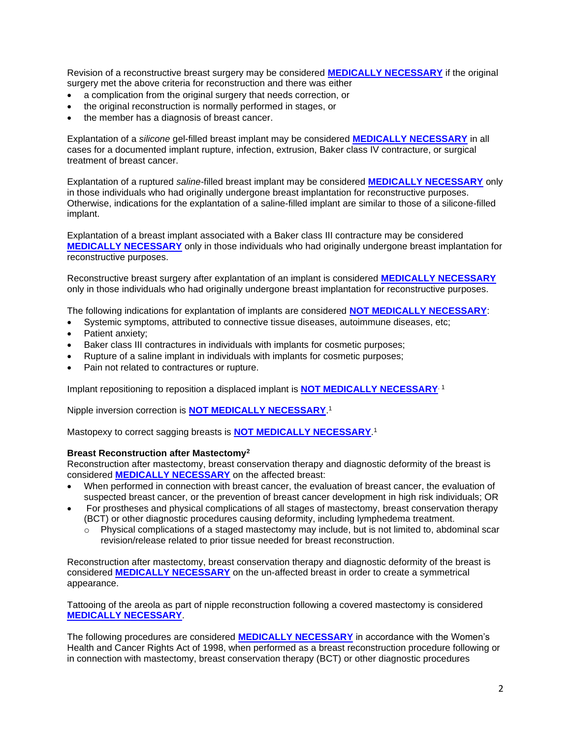Revision of a reconstructive breast surgery may be considered **[MEDICALLY NECESSARY](https://www.bluecrossma.org/medical-policies/sites/g/files/csphws2091/files/acquiadam-assets/Definition%20of%20Med%20Nec%20Inv%20Not%20Med%20Nec%20prn.pdf#page=1)** if the original surgery met the above criteria for reconstruction and there was either

- a complication from the original surgery that needs correction, or
- the original reconstruction is normally performed in stages, or
- the member has a diagnosis of breast cancer.

Explantation of a *silicone* gel-filled breast implant may be considered **[MEDICALLY NECESSARY](https://www.bluecrossma.org/medical-policies/sites/g/files/csphws2091/files/acquiadam-assets/Definition%20of%20Med%20Nec%20Inv%20Not%20Med%20Nec%20prn.pdf#page=1)** in all cases for a documented implant rupture, infection, extrusion, Baker class IV contracture, or surgical treatment of breast cancer.

Explantation of a ruptured *saline-*filled breast implant may be considered **[MEDICALLY NECESSARY](https://www.bluecrossma.org/medical-policies/sites/g/files/csphws2091/files/acquiadam-assets/Definition%20of%20Med%20Nec%20Inv%20Not%20Med%20Nec%20prn.pdf#page=1)** only in those individuals who had originally undergone breast implantation for reconstructive purposes. Otherwise, indications for the explantation of a saline-filled implant are similar to those of a silicone-filled implant.

Explantation of a breast implant associated with a Baker class III contracture may be considered **[MEDICALLY NECESSARY](https://www.bluecrossma.org/medical-policies/sites/g/files/csphws2091/files/acquiadam-assets/Definition%20of%20Med%20Nec%20Inv%20Not%20Med%20Nec%20prn.pdf#page=1)** only in those individuals who had originally undergone breast implantation for reconstructive purposes.

Reconstructive breast surgery after explantation of an implant is considered **[MEDICALLY NECESSARY](https://www.bluecrossma.org/medical-policies/sites/g/files/csphws2091/files/acquiadam-assets/Definition%20of%20Med%20Nec%20Inv%20Not%20Med%20Nec%20prn.pdf#page=1)** only in those individuals who had originally undergone breast implantation for reconstructive purposes.

The following indications for explantation of implants are considered **[NOT MEDICALLY NECESSARY](https://www.bluecrossma.org/medical-policies/sites/g/files/csphws2091/files/acquiadam-assets/Definition%20of%20Med%20Nec%20Inv%20Not%20Med%20Nec%20prn.pdf#page=1)**:

- Systemic symptoms, attributed to connective tissue diseases, autoimmune diseases, etc;
- Patient anxiety:
- Baker class III contractures in individuals with implants for cosmetic purposes;
- Rupture of a saline implant in individuals with implants for cosmetic purposes;
- Pain not related to contractures or rupture.

Implant repositioning to reposition a displaced implant is **[NOT MEDICALLY NECESSARY](https://www.bluecrossma.org/medical-policies/sites/g/files/csphws2091/files/acquiadam-assets/Definition%20of%20Med%20Nec%20Inv%20Not%20Med%20Nec%20prn.pdf#page=1)**[. 1](#page-0-1)

Nipple inversion correction is **[NOT MEDICALLY NECESSARY](https://www.bluecrossma.org/medical-policies/sites/g/files/csphws2091/files/acquiadam-assets/Definition%20of%20Med%20Nec%20Inv%20Not%20Med%20Nec%20prn.pdf#page=1)**[.](#page-0-1) 1

Mastopexy to correct sagging breasts is **[NOT MEDICALLY NECESSARY](https://www.bluecrossma.org/medical-policies/sites/g/files/csphws2091/files/acquiadam-assets/Definition%20of%20Med%20Nec%20Inv%20Not%20Med%20Nec%20prn.pdf#page=1)**. [1](#page-0-1)

#### **Breast Reconstruction after Mastectomy<sup>2</sup>**

Reconstruction after mastectomy, breast conservation therapy and diagnostic deformity of the breast is considered **[MEDICALLY NECESSARY](https://www.bluecrossma.org/medical-policies/sites/g/files/csphws2091/files/acquiadam-assets/Definition%20of%20Med%20Nec%20Inv%20Not%20Med%20Nec%20prn.pdf#page=1)** on the affected breast:

- When performed in connection with breast cancer, the evaluation of breast cancer, the evaluation of suspected breast cancer, or the prevention of breast cancer development in high risk individuals; OR
- For prostheses and physical complications of all stages of mastectomy, breast conservation therapy (BCT) or other diagnostic procedures causing deformity, including lymphedema treatment.
	- $\circ$  Physical complications of a staged mastectomy may include, but is not limited to, abdominal scar revision/release related to prior tissue needed for breast reconstruction.

Reconstruction after mastectomy, breast conservation therapy and diagnostic deformity of the breast is considered **[MEDICALLY NECESSARY](https://www.bluecrossma.org/medical-policies/sites/g/files/csphws2091/files/acquiadam-assets/Definition%20of%20Med%20Nec%20Inv%20Not%20Med%20Nec%20prn.pdf#page=1)** on the un-affected breast in order to create a symmetrical appearance.

Tattooing of the areola as part of nipple reconstruction following a covered mastectomy is considered **[MEDICALLY NECESSARY](https://www.bluecrossma.org/medical-policies/sites/g/files/csphws2091/files/acquiadam-assets/Definition%20of%20Med%20Nec%20Inv%20Not%20Med%20Nec%20prn.pdf#page=1)**.

The following procedures are considered **[MEDICALLY NECESSARY](https://www.bluecrossma.org/medical-policies/sites/g/files/csphws2091/files/acquiadam-assets/Definition%20of%20Med%20Nec%20Inv%20Not%20Med%20Nec%20prn.pdf#page=1)** in accordance with the Women's Health and Cancer Rights Act of 1998, when performed as a breast reconstruction procedure following or in connection with mastectomy, breast conservation therapy (BCT) or other diagnostic procedures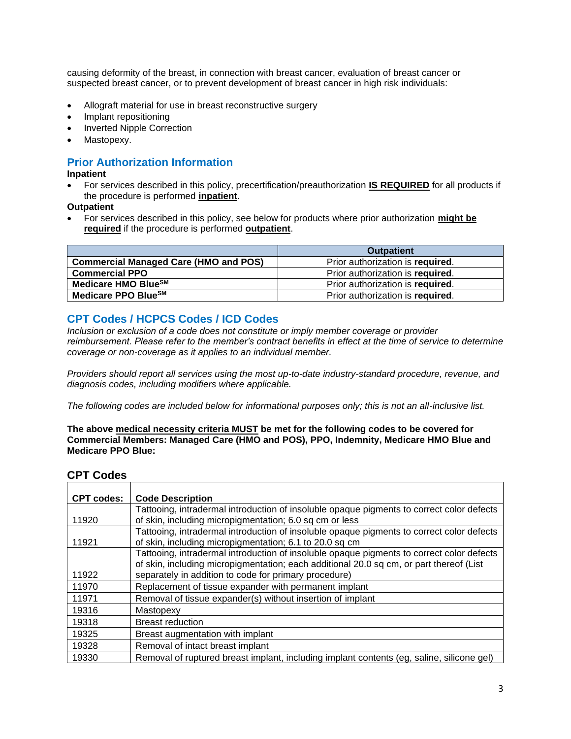causing deformity of the breast, in connection with breast cancer, evaluation of breast cancer or suspected breast cancer, or to prevent development of breast cancer in high risk individuals:

- Allograft material for use in breast reconstructive surgery
- Implant repositioning
- Inverted Nipple Correction
- Mastopexy.

# <span id="page-2-0"></span>**Prior Authorization Information**

#### **Inpatient**

• For services described in this policy, precertification/preauthorization **IS REQUIRED** for all products if the procedure is performed **inpatient**.

**Outpatient**

• For services described in this policy, see below for products where prior authorization **might be required** if the procedure is performed **outpatient**.

|                                              | <b>Outpatient</b>                |
|----------------------------------------------|----------------------------------|
| <b>Commercial Managed Care (HMO and POS)</b> | Prior authorization is required. |
| <b>Commercial PPO</b>                        | Prior authorization is required. |
| Medicare HMO BlueSM                          | Prior authorization is required. |
| Medicare PPO Blue <sup>SM</sup>              | Prior authorization is required. |

# **CPT Codes / HCPCS Codes / ICD Codes**

*Inclusion or exclusion of a code does not constitute or imply member coverage or provider reimbursement. Please refer to the member's contract benefits in effect at the time of service to determine coverage or non-coverage as it applies to an individual member.* 

*Providers should report all services using the most up-to-date industry-standard procedure, revenue, and diagnosis codes, including modifiers where applicable.*

*The following codes are included below for informational purposes only; this is not an all-inclusive list.*

#### **The above medical necessity criteria MUST be met for the following codes to be covered for Commercial Members: Managed Care (HMO and POS), PPO, Indemnity, Medicare HMO Blue and Medicare PPO Blue:**

## **CPT Codes**

| <b>CPT codes:</b> | <b>Code Description</b>                                                                                                                                                              |
|-------------------|--------------------------------------------------------------------------------------------------------------------------------------------------------------------------------------|
|                   | Tattooing, intradermal introduction of insoluble opaque pigments to correct color defects                                                                                            |
| 11920             | of skin, including micropigmentation; 6.0 sq cm or less                                                                                                                              |
|                   | Tattooing, intradermal introduction of insoluble opaque pigments to correct color defects                                                                                            |
| 11921             | of skin, including micropigmentation; 6.1 to 20.0 sq cm                                                                                                                              |
|                   | Tattooing, intradermal introduction of insoluble opaque pigments to correct color defects<br>of skin, including micropigmentation; each additional 20.0 sq cm, or part thereof (List |
| 11922             | separately in addition to code for primary procedure)                                                                                                                                |
| 11970             | Replacement of tissue expander with permanent implant                                                                                                                                |
| 11971             | Removal of tissue expander(s) without insertion of implant                                                                                                                           |
| 19316             | Mastopexy                                                                                                                                                                            |
| 19318             | <b>Breast reduction</b>                                                                                                                                                              |
| 19325             | Breast augmentation with implant                                                                                                                                                     |
| 19328             | Removal of intact breast implant                                                                                                                                                     |
| 19330             | Removal of ruptured breast implant, including implant contents (eg, saline, silicone gel)                                                                                            |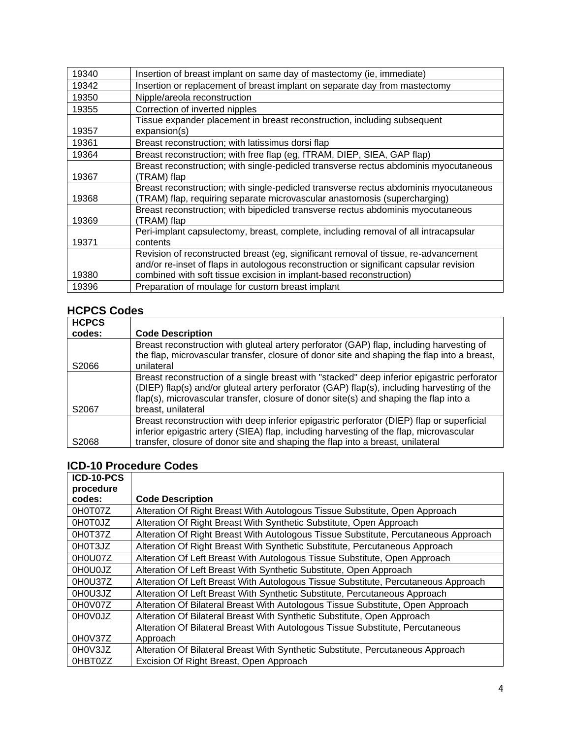| 19340 | Insertion of breast implant on same day of mastectomy (ie, immediate)                                                                                                                                                                                |
|-------|------------------------------------------------------------------------------------------------------------------------------------------------------------------------------------------------------------------------------------------------------|
| 19342 | Insertion or replacement of breast implant on separate day from mastectomy                                                                                                                                                                           |
| 19350 | Nipple/areola reconstruction                                                                                                                                                                                                                         |
| 19355 | Correction of inverted nipples                                                                                                                                                                                                                       |
| 19357 | Tissue expander placement in breast reconstruction, including subsequent<br>expansion(s)                                                                                                                                                             |
| 19361 | Breast reconstruction; with latissimus dorsi flap                                                                                                                                                                                                    |
| 19364 | Breast reconstruction; with free flap (eg, fTRAM, DIEP, SIEA, GAP flap)                                                                                                                                                                              |
| 19367 | Breast reconstruction; with single-pedicled transverse rectus abdominis myocutaneous<br>(TRAM) flap                                                                                                                                                  |
| 19368 | Breast reconstruction; with single-pedicled transverse rectus abdominis myocutaneous<br>(TRAM) flap, requiring separate microvascular anastomosis (supercharging)                                                                                    |
| 19369 | Breast reconstruction; with bipedicled transverse rectus abdominis myocutaneous<br>(TRAM) flap                                                                                                                                                       |
| 19371 | Peri-implant capsulectomy, breast, complete, including removal of all intracapsular<br>contents                                                                                                                                                      |
| 19380 | Revision of reconstructed breast (eg, significant removal of tissue, re-advancement<br>and/or re-inset of flaps in autologous reconstruction or significant capsular revision<br>combined with soft tissue excision in implant-based reconstruction) |
| 19396 | Preparation of moulage for custom breast implant                                                                                                                                                                                                     |

# **HCPCS Codes**

| <b>HCPCS</b>      |                                                                                                                                                                                                                                                                                                          |
|-------------------|----------------------------------------------------------------------------------------------------------------------------------------------------------------------------------------------------------------------------------------------------------------------------------------------------------|
| codes:            | <b>Code Description</b>                                                                                                                                                                                                                                                                                  |
|                   | Breast reconstruction with gluteal artery perforator (GAP) flap, including harvesting of<br>the flap, microvascular transfer, closure of donor site and shaping the flap into a breast,                                                                                                                  |
| S <sub>2066</sub> | unilateral                                                                                                                                                                                                                                                                                               |
| S2067             | Breast reconstruction of a single breast with "stacked" deep inferior epigastric perforator<br>(DIEP) flap(s) and/or gluteal artery perforator (GAP) flap(s), including harvesting of the<br>flap(s), microvascular transfer, closure of donor site(s) and shaping the flap into a<br>breast, unilateral |
| S2068             | Breast reconstruction with deep inferior epigastric perforator (DIEP) flap or superficial<br>inferior epigastric artery (SIEA) flap, including harvesting of the flap, microvascular<br>transfer, closure of donor site and shaping the flap into a breast, unilateral                                   |

# **ICD-10 Procedure Codes**

| ICD-10-PCS |                                                                                     |
|------------|-------------------------------------------------------------------------------------|
| procedure  |                                                                                     |
| codes:     | <b>Code Description</b>                                                             |
| 0H0T07Z    | Alteration Of Right Breast With Autologous Tissue Substitute, Open Approach         |
| 0H0T0JZ    | Alteration Of Right Breast With Synthetic Substitute, Open Approach                 |
| 0H0T37Z    | Alteration Of Right Breast With Autologous Tissue Substitute, Percutaneous Approach |
| 0H0T3JZ    | Alteration Of Right Breast With Synthetic Substitute, Percutaneous Approach         |
| 0H0U07Z    | Alteration Of Left Breast With Autologous Tissue Substitute, Open Approach          |
| 0H0U0JZ    | Alteration Of Left Breast With Synthetic Substitute, Open Approach                  |
| 0H0U37Z    | Alteration Of Left Breast With Autologous Tissue Substitute, Percutaneous Approach  |
| 0H0U3JZ    | Alteration Of Left Breast With Synthetic Substitute, Percutaneous Approach          |
| 0H0V07Z    | Alteration Of Bilateral Breast With Autologous Tissue Substitute, Open Approach     |
| 0H0V0JZ    | Alteration Of Bilateral Breast With Synthetic Substitute, Open Approach             |
|            | Alteration Of Bilateral Breast With Autologous Tissue Substitute, Percutaneous      |
| 0H0V37Z    | Approach                                                                            |
| 0H0V3JZ    | Alteration Of Bilateral Breast With Synthetic Substitute, Percutaneous Approach     |
| 0HBT0ZZ    | Excision Of Right Breast, Open Approach                                             |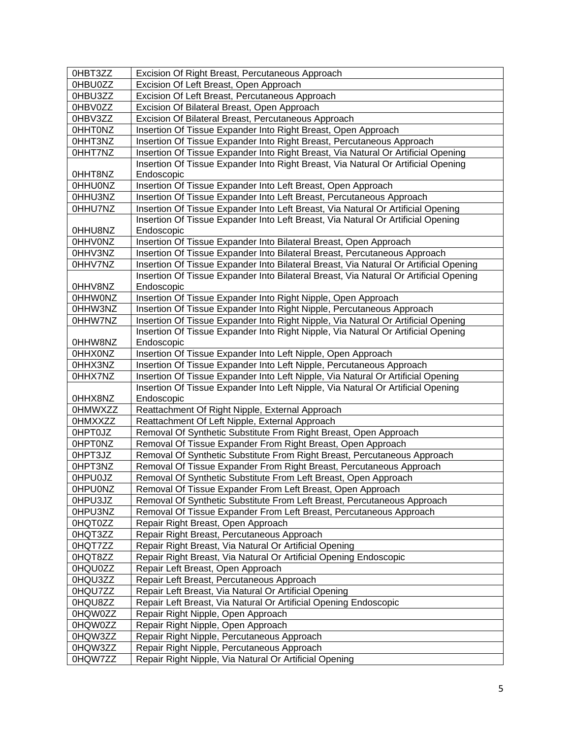| 0HBT3ZZ            | Excision Of Right Breast, Percutaneous Approach                                       |
|--------------------|---------------------------------------------------------------------------------------|
| 0HBU0ZZ            | Excision Of Left Breast, Open Approach                                                |
| 0HBU3ZZ            | Excision Of Left Breast, Percutaneous Approach                                        |
| 0HBV0ZZ            | Excision Of Bilateral Breast, Open Approach                                           |
| 0HBV3ZZ            | Excision Of Bilateral Breast, Percutaneous Approach                                   |
| <b>OHHTONZ</b>     | Insertion Of Tissue Expander Into Right Breast, Open Approach                         |
| OHHT3NZ            | Insertion Of Tissue Expander Into Right Breast, Percutaneous Approach                 |
| 0HHT7NZ            | Insertion Of Tissue Expander Into Right Breast, Via Natural Or Artificial Opening     |
|                    | Insertion Of Tissue Expander Into Right Breast, Via Natural Or Artificial Opening     |
| OHHT8NZ            | Endoscopic                                                                            |
| <b>OHHUONZ</b>     | Insertion Of Tissue Expander Into Left Breast, Open Approach                          |
| 0HHU3NZ            | Insertion Of Tissue Expander Into Left Breast, Percutaneous Approach                  |
| 0HHU7NZ            | Insertion Of Tissue Expander Into Left Breast, Via Natural Or Artificial Opening      |
|                    | Insertion Of Tissue Expander Into Left Breast, Via Natural Or Artificial Opening      |
| 0HHU8NZ            | Endoscopic                                                                            |
| <b>OHHVONZ</b>     | Insertion Of Tissue Expander Into Bilateral Breast, Open Approach                     |
| 0HHV3NZ            | Insertion Of Tissue Expander Into Bilateral Breast, Percutaneous Approach             |
| 0HHV7NZ            | Insertion Of Tissue Expander Into Bilateral Breast, Via Natural Or Artificial Opening |
|                    | Insertion Of Tissue Expander Into Bilateral Breast, Via Natural Or Artificial Opening |
| 0HHV8NZ            | Endoscopic                                                                            |
| <b>OHHWONZ</b>     | Insertion Of Tissue Expander Into Right Nipple, Open Approach                         |
| 0HHW3NZ            | Insertion Of Tissue Expander Into Right Nipple, Percutaneous Approach                 |
| 0HHW7NZ            | Insertion Of Tissue Expander Into Right Nipple, Via Natural Or Artificial Opening     |
|                    | Insertion Of Tissue Expander Into Right Nipple, Via Natural Or Artificial Opening     |
| 0HHW8NZ            | Endoscopic                                                                            |
| <b>OHHXONZ</b>     | Insertion Of Tissue Expander Into Left Nipple, Open Approach                          |
| 0HHX3NZ            | Insertion Of Tissue Expander Into Left Nipple, Percutaneous Approach                  |
| 0HHX7NZ            | Insertion Of Tissue Expander Into Left Nipple, Via Natural Or Artificial Opening      |
|                    | Insertion Of Tissue Expander Into Left Nipple, Via Natural Or Artificial Opening      |
| OHHX8NZ            | Endoscopic                                                                            |
| <b>OHMWXZZ</b>     | Reattachment Of Right Nipple, External Approach                                       |
| <b>OHMXXZZ</b>     | Reattachment Of Left Nipple, External Approach                                        |
| OHPT0JZ            | Removal Of Synthetic Substitute From Right Breast, Open Approach                      |
| <b>OHPTONZ</b>     | Removal Of Tissue Expander From Right Breast, Open Approach                           |
| 0HPT3JZ            | Removal Of Synthetic Substitute From Right Breast, Percutaneous Approach              |
| 0HPT3NZ            | Removal Of Tissue Expander From Right Breast, Percutaneous Approach                   |
| <b>OHPUOJZ</b>     | Removal Of Synthetic Substitute From Left Breast, Open Approach                       |
| <b>OHPUONZ</b>     | Removal Of Tissue Expander From Left Breast, Open Approach                            |
| 0HPU3JZ            | Removal Of Synthetic Substitute From Left Breast, Percutaneous Approach               |
| 0HPU3NZ            | Removal Of Tissue Expander From Left Breast, Percutaneous Approach                    |
| 0HQT0ZZ            | Repair Right Breast, Open Approach                                                    |
| 0HQT3ZZ            | Repair Right Breast, Percutaneous Approach                                            |
| 0HQT7ZZ            | Repair Right Breast, Via Natural Or Artificial Opening                                |
| 0HQT8ZZ            | Repair Right Breast, Via Natural Or Artificial Opening Endoscopic                     |
| 0HQU0ZZ            | Repair Left Breast, Open Approach                                                     |
| 0HQU3ZZ<br>0HQU7ZZ | Repair Left Breast, Percutaneous Approach                                             |
|                    | Repair Left Breast, Via Natural Or Artificial Opening                                 |
| 0HQU8ZZ<br>0HQW0ZZ | Repair Left Breast, Via Natural Or Artificial Opening Endoscopic                      |
|                    | Repair Right Nipple, Open Approach                                                    |
| 0HQW0ZZ            | Repair Right Nipple, Open Approach                                                    |
| 0HQW3ZZ            | Repair Right Nipple, Percutaneous Approach                                            |
| 0HQW3ZZ            | Repair Right Nipple, Percutaneous Approach                                            |
| 0HQW7ZZ            | Repair Right Nipple, Via Natural Or Artificial Opening                                |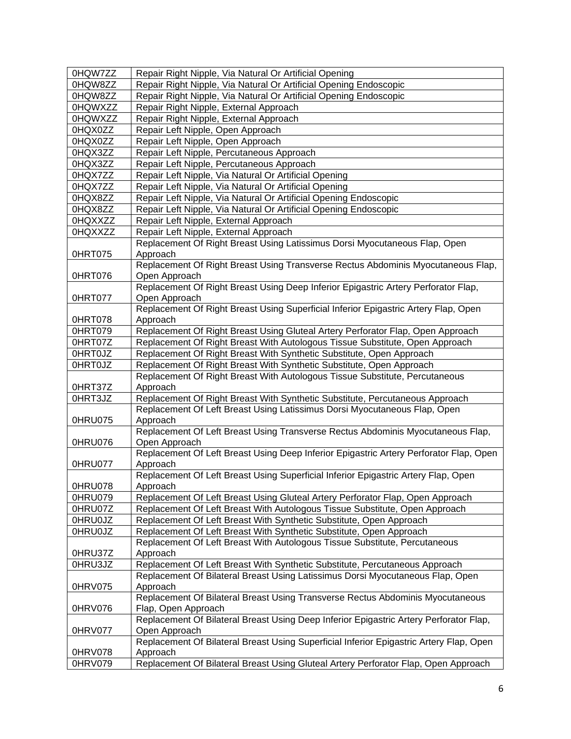| 0HQW7ZZ        | Repair Right Nipple, Via Natural Or Artificial Opening                                         |
|----------------|------------------------------------------------------------------------------------------------|
| 0HQW8ZZ        | Repair Right Nipple, Via Natural Or Artificial Opening Endoscopic                              |
| 0HQW8ZZ        | Repair Right Nipple, Via Natural Or Artificial Opening Endoscopic                              |
| 0HQWXZZ        | Repair Right Nipple, External Approach                                                         |
| 0HQWXZZ        | Repair Right Nipple, External Approach                                                         |
| 0HQX0ZZ        | Repair Left Nipple, Open Approach                                                              |
| 0HQX0ZZ        | Repair Left Nipple, Open Approach                                                              |
| 0HQX3ZZ        | Repair Left Nipple, Percutaneous Approach                                                      |
| 0HQX3ZZ        | Repair Left Nipple, Percutaneous Approach                                                      |
| 0HQX7ZZ        | Repair Left Nipple, Via Natural Or Artificial Opening                                          |
| 0HQX7ZZ        | Repair Left Nipple, Via Natural Or Artificial Opening                                          |
| 0HQX8ZZ        | Repair Left Nipple, Via Natural Or Artificial Opening Endoscopic                               |
| 0HQX8ZZ        | Repair Left Nipple, Via Natural Or Artificial Opening Endoscopic                               |
| 0HQXXZZ        | Repair Left Nipple, External Approach                                                          |
| 0HQXXZZ        | Repair Left Nipple, External Approach                                                          |
|                | Replacement Of Right Breast Using Latissimus Dorsi Myocutaneous Flap, Open                     |
| 0HRT075        | Approach                                                                                       |
|                | Replacement Of Right Breast Using Transverse Rectus Abdominis Myocutaneous Flap,               |
| 0HRT076        | Open Approach                                                                                  |
|                | Replacement Of Right Breast Using Deep Inferior Epigastric Artery Perforator Flap,             |
| 0HRT077        | Open Approach                                                                                  |
|                | Replacement Of Right Breast Using Superficial Inferior Epigastric Artery Flap, Open            |
| 0HRT078        | Approach                                                                                       |
| 0HRT079        | Replacement Of Right Breast Using Gluteal Artery Perforator Flap, Open Approach                |
| 0HRT07Z        | Replacement Of Right Breast With Autologous Tissue Substitute, Open Approach                   |
| <b>OHRTOJZ</b> | Replacement Of Right Breast With Synthetic Substitute, Open Approach                           |
| <b>OHRTOJZ</b> | Replacement Of Right Breast With Synthetic Substitute, Open Approach                           |
|                | Replacement Of Right Breast With Autologous Tissue Substitute, Percutaneous                    |
| 0HRT37Z        | Approach                                                                                       |
| 0HRT3JZ        | Replacement Of Right Breast With Synthetic Substitute, Percutaneous Approach                   |
|                | Replacement Of Left Breast Using Latissimus Dorsi Myocutaneous Flap, Open                      |
| 0HRU075        | Approach                                                                                       |
|                | Replacement Of Left Breast Using Transverse Rectus Abdominis Myocutaneous Flap,                |
| 0HRU076        | Open Approach                                                                                  |
|                | Replacement Of Left Breast Using Deep Inferior Epigastric Artery Perforator Flap, Open         |
| 0HRU077        | Approach                                                                                       |
| 0HRU078        | Replacement Of Left Breast Using Superficial Inferior Epigastric Artery Flap, Open<br>Approach |
| 0HRU079        | Replacement Of Left Breast Using Gluteal Artery Perforator Flap, Open Approach                 |
| 0HRU07Z        | Replacement Of Left Breast With Autologous Tissue Substitute, Open Approach                    |
| 0HRU0JZ        | Replacement Of Left Breast With Synthetic Substitute, Open Approach                            |
| 0HRU0JZ        | Replacement Of Left Breast With Synthetic Substitute, Open Approach                            |
|                | Replacement Of Left Breast With Autologous Tissue Substitute, Percutaneous                     |
| 0HRU37Z        | Approach                                                                                       |
| 0HRU3JZ        | Replacement Of Left Breast With Synthetic Substitute, Percutaneous Approach                    |
|                | Replacement Of Bilateral Breast Using Latissimus Dorsi Myocutaneous Flap, Open                 |
| 0HRV075        | Approach                                                                                       |
|                | Replacement Of Bilateral Breast Using Transverse Rectus Abdominis Myocutaneous                 |
| 0HRV076        | Flap, Open Approach                                                                            |
|                | Replacement Of Bilateral Breast Using Deep Inferior Epigastric Artery Perforator Flap,         |
| 0HRV077        | Open Approach                                                                                  |
|                | Replacement Of Bilateral Breast Using Superficial Inferior Epigastric Artery Flap, Open        |
| 0HRV078        | Approach                                                                                       |
| 0HRV079        | Replacement Of Bilateral Breast Using Gluteal Artery Perforator Flap, Open Approach            |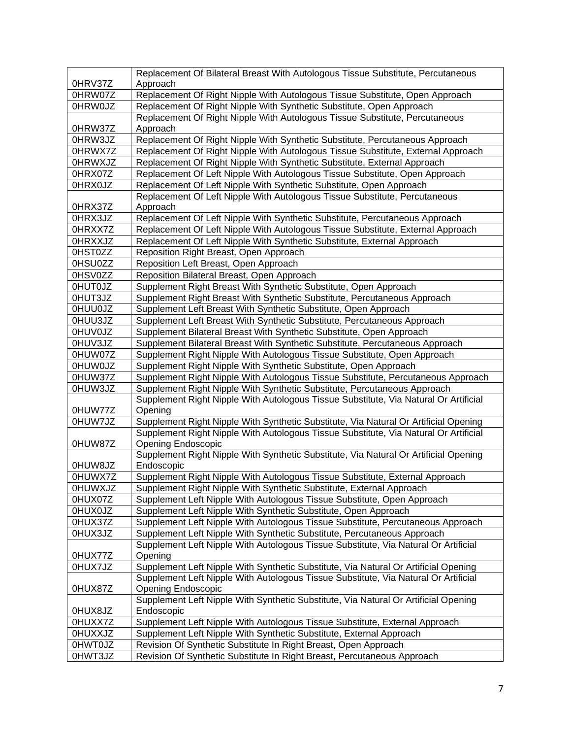|                | Replacement Of Bilateral Breast With Autologous Tissue Substitute, Percutaneous      |
|----------------|--------------------------------------------------------------------------------------|
| 0HRV37Z        | Approach                                                                             |
| 0HRW07Z        | Replacement Of Right Nipple With Autologous Tissue Substitute, Open Approach         |
| 0HRW0JZ        | Replacement Of Right Nipple With Synthetic Substitute, Open Approach                 |
|                | Replacement Of Right Nipple With Autologous Tissue Substitute, Percutaneous          |
| 0HRW37Z        | Approach                                                                             |
| 0HRW3JZ        | Replacement Of Right Nipple With Synthetic Substitute, Percutaneous Approach         |
| 0HRWX7Z        | Replacement Of Right Nipple With Autologous Tissue Substitute, External Approach     |
| <b>OHRWXJZ</b> | Replacement Of Right Nipple With Synthetic Substitute, External Approach             |
| 0HRX07Z        | Replacement Of Left Nipple With Autologous Tissue Substitute, Open Approach          |
| 0HRX0JZ        | Replacement Of Left Nipple With Synthetic Substitute, Open Approach                  |
|                | Replacement Of Left Nipple With Autologous Tissue Substitute, Percutaneous           |
| 0HRX37Z        | Approach                                                                             |
| 0HRX3JZ        | Replacement Of Left Nipple With Synthetic Substitute, Percutaneous Approach          |
| 0HRXX7Z        | Replacement Of Left Nipple With Autologous Tissue Substitute, External Approach      |
| <b>OHRXXJZ</b> | Replacement Of Left Nipple With Synthetic Substitute, External Approach              |
| 0HST0ZZ        | Reposition Right Breast, Open Approach                                               |
| 0HSU0ZZ        | Reposition Left Breast, Open Approach                                                |
| 0HSV0ZZ        | Reposition Bilateral Breast, Open Approach                                           |
| <b>OHUTOJZ</b> | Supplement Right Breast With Synthetic Substitute, Open Approach                     |
| 0HUT3JZ        | Supplement Right Breast With Synthetic Substitute, Percutaneous Approach             |
| <b>OHUUOJZ</b> | Supplement Left Breast With Synthetic Substitute, Open Approach                      |
| 0HUU3JZ        | Supplement Left Breast With Synthetic Substitute, Percutaneous Approach              |
| <b>OHUVOJZ</b> | Supplement Bilateral Breast With Synthetic Substitute, Open Approach                 |
| 0HUV3JZ        | Supplement Bilateral Breast With Synthetic Substitute, Percutaneous Approach         |
| 0HUW07Z        | Supplement Right Nipple With Autologous Tissue Substitute, Open Approach             |
| <b>OHUWOJZ</b> | Supplement Right Nipple With Synthetic Substitute, Open Approach                     |
| 0HUW37Z        | Supplement Right Nipple With Autologous Tissue Substitute, Percutaneous Approach     |
| 0HUW3JZ        | Supplement Right Nipple With Synthetic Substitute, Percutaneous Approach             |
|                | Supplement Right Nipple With Autologous Tissue Substitute, Via Natural Or Artificial |
| 0HUW77Z        | Opening                                                                              |
| 0HUW7JZ        | Supplement Right Nipple With Synthetic Substitute, Via Natural Or Artificial Opening |
|                | Supplement Right Nipple With Autologous Tissue Substitute, Via Natural Or Artificial |
| 0HUW87Z        | <b>Opening Endoscopic</b>                                                            |
|                | Supplement Right Nipple With Synthetic Substitute, Via Natural Or Artificial Opening |
| 0HUW8JZ        | Endoscopic                                                                           |
| 0HUWX7Z        | Supplement Right Nipple With Autologous Tissue Substitute, External Approach         |
| <b>OHUWXJZ</b> | Supplement Right Nipple With Synthetic Substitute, External Approach                 |
| 0HUX07Z        | Supplement Left Nipple With Autologous Tissue Substitute, Open Approach              |
| <b>OHUXOJZ</b> | Supplement Left Nipple With Synthetic Substitute, Open Approach                      |
| 0HUX37Z        | Supplement Left Nipple With Autologous Tissue Substitute, Percutaneous Approach      |
| 0HUX3JZ        | Supplement Left Nipple With Synthetic Substitute, Percutaneous Approach              |
|                | Supplement Left Nipple With Autologous Tissue Substitute, Via Natural Or Artificial  |
| 0HUX77Z        | Opening                                                                              |
| 0HUX7JZ        | Supplement Left Nipple With Synthetic Substitute, Via Natural Or Artificial Opening  |
|                | Supplement Left Nipple With Autologous Tissue Substitute, Via Natural Or Artificial  |
| 0HUX87Z        | <b>Opening Endoscopic</b>                                                            |
|                | Supplement Left Nipple With Synthetic Substitute, Via Natural Or Artificial Opening  |
| 0HUX8JZ        | Endoscopic                                                                           |
| 0HUXX7Z        | Supplement Left Nipple With Autologous Tissue Substitute, External Approach          |
| <b>OHUXXJZ</b> | Supplement Left Nipple With Synthetic Substitute, External Approach                  |
| <b>OHWTOJZ</b> | Revision Of Synthetic Substitute In Right Breast, Open Approach                      |
| 0HWT3JZ        | Revision Of Synthetic Substitute In Right Breast, Percutaneous Approach              |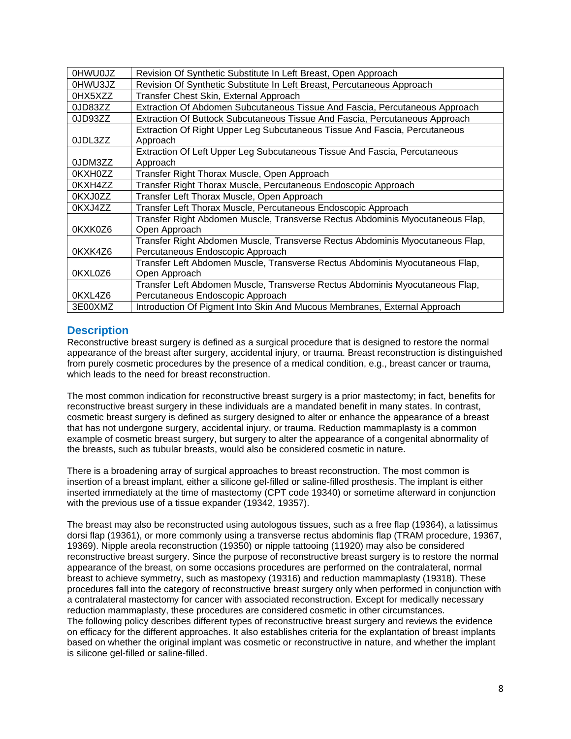| <b>OHWUOJZ</b> | Revision Of Synthetic Substitute In Left Breast, Open Approach                |
|----------------|-------------------------------------------------------------------------------|
| 0HWU3JZ        | Revision Of Synthetic Substitute In Left Breast, Percutaneous Approach        |
| 0HX5XZZ        | Transfer Chest Skin, External Approach                                        |
| 0JD83ZZ        | Extraction Of Abdomen Subcutaneous Tissue And Fascia, Percutaneous Approach   |
| 0JD93ZZ        | Extraction Of Buttock Subcutaneous Tissue And Fascia, Percutaneous Approach   |
|                | Extraction Of Right Upper Leg Subcutaneous Tissue And Fascia, Percutaneous    |
| 0JDL3ZZ        | Approach                                                                      |
|                | Extraction Of Left Upper Leg Subcutaneous Tissue And Fascia, Percutaneous     |
| 0JDM3ZZ        | Approach                                                                      |
| 0KXH0ZZ        | Transfer Right Thorax Muscle, Open Approach                                   |
| 0KXH4ZZ        | Transfer Right Thorax Muscle, Percutaneous Endoscopic Approach                |
| 0KXJ0ZZ        | Transfer Left Thorax Muscle, Open Approach                                    |
| 0KXJ4ZZ        | Transfer Left Thorax Muscle, Percutaneous Endoscopic Approach                 |
|                | Transfer Right Abdomen Muscle, Transverse Rectus Abdominis Myocutaneous Flap, |
| 0KXK0Z6        | Open Approach                                                                 |
|                | Transfer Right Abdomen Muscle, Transverse Rectus Abdominis Myocutaneous Flap, |
| 0KXK4Z6        | Percutaneous Endoscopic Approach                                              |
|                | Transfer Left Abdomen Muscle, Transverse Rectus Abdominis Myocutaneous Flap,  |
| 0KXL0Z6        | Open Approach                                                                 |
|                | Transfer Left Abdomen Muscle, Transverse Rectus Abdominis Myocutaneous Flap,  |
| 0KXL4Z6        | Percutaneous Endoscopic Approach                                              |
| 3E00XMZ        | Introduction Of Pigment Into Skin And Mucous Membranes, External Approach     |

# <span id="page-7-0"></span>**Description**

Reconstructive breast surgery is defined as a surgical procedure that is designed to restore the normal appearance of the breast after surgery, accidental injury, or trauma. Breast reconstruction is distinguished from purely cosmetic procedures by the presence of a medical condition, e.g., breast cancer or trauma, which leads to the need for breast reconstruction.

The most common indication for reconstructive breast surgery is a prior mastectomy; in fact, benefits for reconstructive breast surgery in these individuals are a mandated benefit in many states. In contrast, cosmetic breast surgery is defined as surgery designed to alter or enhance the appearance of a breast that has not undergone surgery, accidental injury, or trauma. Reduction mammaplasty is a common example of cosmetic breast surgery, but surgery to alter the appearance of a congenital abnormality of the breasts, such as tubular breasts, would also be considered cosmetic in nature.

There is a broadening array of surgical approaches to breast reconstruction. The most common is insertion of a breast implant, either a silicone gel-filled or saline-filled prosthesis. The implant is either inserted immediately at the time of mastectomy (CPT code 19340) or sometime afterward in conjunction with the previous use of a tissue expander (19342, 19357).

The breast may also be reconstructed using autologous tissues, such as a free flap (19364), a latissimus dorsi flap (19361), or more commonly using a transverse rectus abdominis flap (TRAM procedure, 19367, 19369). Nipple areola reconstruction (19350) or nipple tattooing (11920) may also be considered reconstructive breast surgery. Since the purpose of reconstructive breast surgery is to restore the normal appearance of the breast, on some occasions procedures are performed on the contralateral, normal breast to achieve symmetry, such as mastopexy (19316) and reduction mammaplasty (19318). These procedures fall into the category of reconstructive breast surgery only when performed in conjunction with a contralateral mastectomy for cancer with associated reconstruction. Except for medically necessary reduction mammaplasty, these procedures are considered cosmetic in other circumstances. The following policy describes different types of reconstructive breast surgery and reviews the evidence on efficacy for the different approaches. It also establishes criteria for the explantation of breast implants based on whether the original implant was cosmetic or reconstructive in nature, and whether the implant is silicone gel-filled or saline-filled.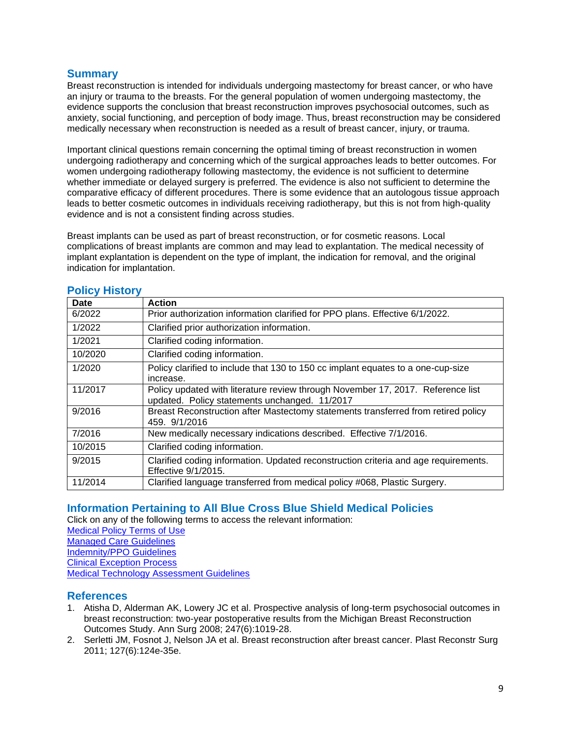## **Summary**

Breast reconstruction is intended for individuals undergoing mastectomy for breast cancer, or who have an injury or trauma to the breasts. For the general population of women undergoing mastectomy, the evidence supports the conclusion that breast reconstruction improves psychosocial outcomes, such as anxiety, social functioning, and perception of body image. Thus, breast reconstruction may be considered medically necessary when reconstruction is needed as a result of breast cancer, injury, or trauma.

Important clinical questions remain concerning the optimal timing of breast reconstruction in women undergoing radiotherapy and concerning which of the surgical approaches leads to better outcomes. For women undergoing radiotherapy following mastectomy, the evidence is not sufficient to determine whether immediate or delayed surgery is preferred. The evidence is also not sufficient to determine the comparative efficacy of different procedures. There is some evidence that an autologous tissue approach leads to better cosmetic outcomes in individuals receiving radiotherapy, but this is not from high-quality evidence and is not a consistent finding across studies.

Breast implants can be used as part of breast reconstruction, or for cosmetic reasons. Local complications of breast implants are common and may lead to explantation. The medical necessity of implant explantation is dependent on the type of implant, the indication for removal, and the original indication for implantation.

| <b>Date</b> | <b>Action</b>                                                                                                                    |
|-------------|----------------------------------------------------------------------------------------------------------------------------------|
| 6/2022      | Prior authorization information clarified for PPO plans. Effective 6/1/2022.                                                     |
| 1/2022      | Clarified prior authorization information.                                                                                       |
| 1/2021      | Clarified coding information.                                                                                                    |
| 10/2020     | Clarified coding information.                                                                                                    |
| 1/2020      | Policy clarified to include that 130 to 150 cc implant equates to a one-cup-size<br>increase.                                    |
| 11/2017     | Policy updated with literature review through November 17, 2017. Reference list<br>updated. Policy statements unchanged. 11/2017 |
| 9/2016      | Breast Reconstruction after Mastectomy statements transferred from retired policy<br>459. 9/1/2016                               |
| 7/2016      | New medically necessary indications described. Effective 7/1/2016.                                                               |
| 10/2015     | Clarified coding information.                                                                                                    |
| 9/2015      | Clarified coding information. Updated reconstruction criteria and age requirements.<br>Effective 9/1/2015.                       |
| 11/2014     | Clarified language transferred from medical policy #068, Plastic Surgery.                                                        |

### <span id="page-8-2"></span>**Policy History**

## <span id="page-8-0"></span>**Information Pertaining to All Blue Cross Blue Shield Medical Policies**

Click on any of the following terms to access the relevant information:

[Medical Policy Terms of Use](http://www.bluecrossma.org/medical-policies/sites/g/files/csphws2091/files/acquiadam-assets/Medical_Policy_Terms_of_Use_prn.pdf) [Managed Care Guidelines](http://www.bluecrossma.org/medical-policies/sites/g/files/csphws2091/files/acquiadam-assets/Managed_Care_Guidelines_prn.pdf) [Indemnity/PPO Guidelines](http://www.bluecrossma.org/medical-policies/sites/g/files/csphws2091/files/acquiadam-assets/Indemnity_and_PPO_Guidelines_prn.pdf) [Clinical Exception Process](http://www.bluecrossma.org/medical-policies/sites/g/files/csphws2091/files/acquiadam-assets/Clinical_Exception_Process_prn.pdf) [Medical Technology Assessment Guidelines](http://www.bluecrossma.org/medical-policies/sites/g/files/csphws2091/files/acquiadam-assets/Medical_Technology_Assessment_Guidelines_prn.pdf)

## <span id="page-8-1"></span>**References**

- 1. Atisha D, Alderman AK, Lowery JC et al. Prospective analysis of long-term psychosocial outcomes in breast reconstruction: two-year postoperative results from the Michigan Breast Reconstruction Outcomes Study. Ann Surg 2008; 247(6):1019-28.
- 2. Serletti JM, Fosnot J, Nelson JA et al. Breast reconstruction after breast cancer. Plast Reconstr Surg 2011; 127(6):124e-35e.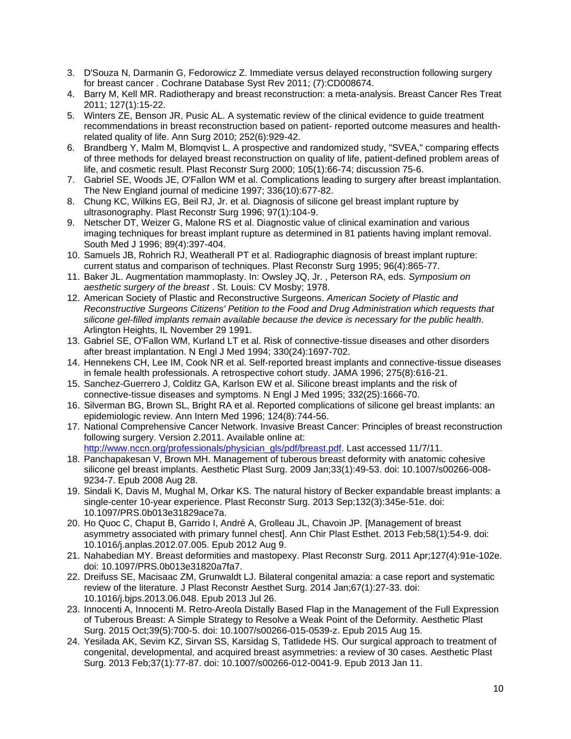- 3. D'Souza N, Darmanin G, Fedorowicz Z. Immediate versus delayed reconstruction following surgery for breast cancer *.* Cochrane Database Syst Rev 2011; (7):CD008674.
- 4. Barry M, Kell MR. Radiotherapy and breast reconstruction: a meta-analysis. Breast Cancer Res Treat 2011; 127(1):15-22.
- 5. Winters ZE, Benson JR, Pusic AL. A systematic review of the clinical evidence to guide treatment recommendations in breast reconstruction based on patient- reported outcome measures and healthrelated quality of life. Ann Surg 2010; 252(6):929-42.
- 6. Brandberg Y, Malm M, Blomqvist L. A prospective and randomized study, "SVEA," comparing effects of three methods for delayed breast reconstruction on quality of life, patient-defined problem areas of life, and cosmetic result. Plast Reconstr Surg 2000; 105(1):66-74; discussion 75-6.
- 7. Gabriel SE, Woods JE, O'Fallon WM et al. Complications leading to surgery after breast implantation. The New England journal of medicine 1997; 336(10):677-82.
- 8. Chung KC, Wilkins EG, Beil RJ, Jr. et al. Diagnosis of silicone gel breast implant rupture by ultrasonography. Plast Reconstr Surg 1996; 97(1):104-9.
- 9. Netscher DT, Weizer G, Malone RS et al. Diagnostic value of clinical examination and various imaging techniques for breast implant rupture as determined in 81 patients having implant removal. South Med J 1996; 89(4):397-404.
- 10. Samuels JB, Rohrich RJ, Weatherall PT et al. Radiographic diagnosis of breast implant rupture: current status and comparison of techniques. Plast Reconstr Surg 1995; 96(4):865-77.
- 11. Baker JL. Augmentation mammoplasty. In: Owsley JQ, Jr. , Peterson RA, eds. *Symposium on aesthetic surgery of the breast* . St. Louis: CV Mosby; 1978.
- 12. American Society of Plastic and Reconstructive Surgeons. *American Society of Plastic and Reconstructive Surgeons Citizens' Petition to the Food and Drug Administration which requests that silicone gel-filled implants remain available because the device is necessary for the public health.* Arlington Heights, IL November 29 1991.
- 13. Gabriel SE, O'Fallon WM, Kurland LT et al. Risk of connective-tissue diseases and other disorders after breast implantation. N Engl J Med 1994; 330(24):1697-702.
- 14. Hennekens CH, Lee IM, Cook NR et al. Self-reported breast implants and connective-tissue diseases in female health professionals. A retrospective cohort study. JAMA 1996; 275(8):616-21.
- 15. Sanchez-Guerrero J, Colditz GA, Karlson EW et al. Silicone breast implants and the risk of connective-tissue diseases and symptoms. N Engl J Med 1995; 332(25):1666-70.
- 16. Silverman BG, Brown SL, Bright RA et al. Reported complications of silicone gel breast implants: an epidemiologic review. Ann Intern Med 1996; 124(8):744-56.
- 17. National Comprehensive Cancer Network. Invasive Breast Cancer: Principles of breast reconstruction following surgery. Version 2.2011. Available online at: [http://www.nccn.org/professionals/physician\\_gls/pdf/breast.pdf.](http://www.nccn.org/professionals/physician_gls/pdf/breast.pdf) Last accessed 11/7/11.
- 18. Panchapakesan V, Brown MH. Management of tuberous breast deformity with anatomic cohesive silicone gel breast implants. Aesthetic Plast Surg. 2009 Jan;33(1):49-53. doi: 10.1007/s00266-008- 9234-7. Epub 2008 Aug 28.
- 19. Sindali K, Davis M, Mughal M, Orkar KS. The natural history of Becker expandable breast implants: a single-center 10-year experience. Plast Reconstr Surg. 2013 Sep;132(3):345e-51e. doi: 10.1097/PRS.0b013e31829ace7a.
- 20. Ho Quoc C, Chaput B, Garrido I, André A, Grolleau JL, Chavoin JP. [Management of breast asymmetry associated with primary funnel chest]. Ann Chir Plast Esthet. 2013 Feb;58(1):54-9. doi: 10.1016/j.anplas.2012.07.005. Epub 2012 Aug 9.
- 21. Nahabedian MY. Breast deformities and mastopexy. Plast Reconstr Surg. 2011 Apr;127(4):91e-102e. doi: 10.1097/PRS.0b013e31820a7fa7.
- 22. Dreifuss SE, Macisaac ZM, Grunwaldt LJ. Bilateral congenital amazia: a case report and systematic review of the literature. J Plast Reconstr Aesthet Surg. 2014 Jan;67(1):27-33. doi: 10.1016/j.bjps.2013.06.048. Epub 2013 Jul 26.
- 23. Innocenti A, Innocenti M. Retro-Areola Distally Based Flap in the Management of the Full Expression of Tuberous Breast: A Simple Strategy to Resolve a Weak Point of the Deformity. Aesthetic Plast Surg. 2015 Oct;39(5):700-5. doi: 10.1007/s00266-015-0539-z. Epub 2015 Aug 15.
- 24. Yesilada AK, Sevim KZ, Sirvan SS, Karsidag S, Tatlidede HS. Our surgical approach to treatment of congenital, developmental, and acquired breast asymmetries: a review of 30 cases. Aesthetic Plast Surg. 2013 Feb;37(1):77-87. doi: 10.1007/s00266-012-0041-9. Epub 2013 Jan 11.